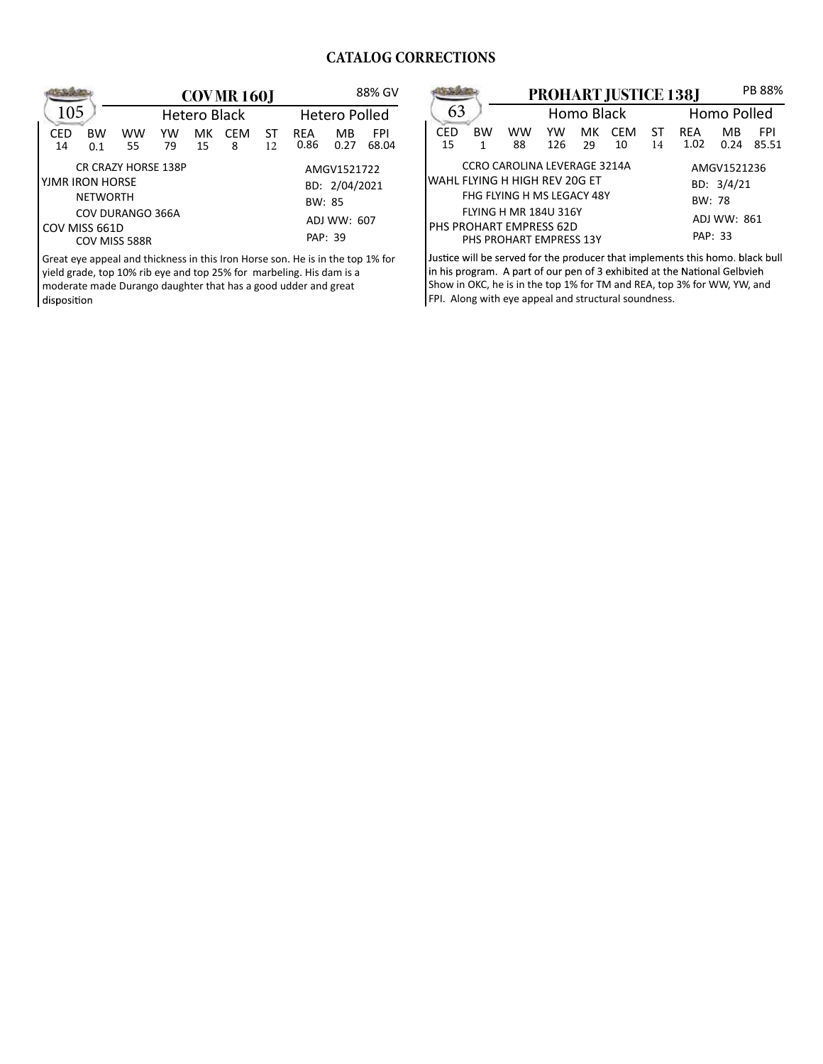## **CATALOG CORRECTIONS**

|                                 |                     | <b>COVMR160J</b> |    |            |    |            | 88% GV               |       |  |
|---------------------------------|---------------------|------------------|----|------------|----|------------|----------------------|-------|--|
| 105                             | <b>Hetero Black</b> |                  |    |            |    |            | <b>Hetero Polled</b> |       |  |
| CED<br><b>BW</b>                | <b>WW</b>           | YW               | мк | <b>CFM</b> | ST | <b>RFA</b> | MB                   | FPI   |  |
| 14<br>0.1                       | 55                  | 79               | 15 | 8          | 12 | 0.86       | 0.27                 | 68.04 |  |
| <b>CR CRAZY HORSE 138P</b>      |                     |                  |    |            |    |            | AMGV1521722          |       |  |
| lyjmr iron horse                |                     |                  |    |            |    |            | BD: 2/04/2021        |       |  |
| <b>NETWORTH</b><br>BW: 85       |                     |                  |    |            |    |            |                      |       |  |
| COV DURANGO 366A<br>ADJ WW: 607 |                     |                  |    |            |    |            |                      |       |  |
| COV MISS 661D                   |                     |                  |    |            |    |            |                      |       |  |
| PAP: 39<br>COV MISS 588R        |                     |                  |    |            |    |            |                      |       |  |

Great eye appeal and thickness in this Iron Horse son. He is in the top 1% for yield grade, top 10% rib eye and top 25% for marbeling. His dam is a moderate made Durango daughter that has a good udder and great

|                                             |           |                              | <b>PROHART JUSTICE 138J</b> | PB 88%     |             |    |            |      |            |
|---------------------------------------------|-----------|------------------------------|-----------------------------|------------|-------------|----|------------|------|------------|
| 63                                          |           |                              |                             | Homo Black | Homo Polled |    |            |      |            |
| CED                                         | <b>BW</b> | ww                           | YW                          | мк         | <b>CFM</b>  | ST | <b>RFA</b> | МB   | <b>FPI</b> |
| 15                                          | 1         | 88                           | 126                         | 29         | 10          | 14 | 1.02       | 0.24 | 85.51      |
|                                             |           | CCRO CAROLINA LEVERAGE 3214A | AMGV1521236                 |            |             |    |            |      |            |
| WAHL FLYING H HIGH REV 20G ET<br>BD: 3/4/21 |           |                              |                             |            |             |    |            |      |            |
| FHG FLYING H MS LEGACY 48Y<br><b>BW: 78</b> |           |                              |                             |            |             |    |            |      |            |
| <b>FLYING H MR 184U 316Y</b><br>ADJ WW: 861 |           |                              |                             |            |             |    |            |      |            |
| PHS PROHART EMPRESS 62D                     |           |                              |                             |            |             |    |            |      |            |
| PAP: 33<br>PHS PROHART EMPRESS 13Y          |           |                              |                             |            |             |    |            |      |            |

Justice will be served for the producer that implements this homo. black bull in his program. A part of our pen of 3 exhibited at the National Gelbvieh Show in OKC, he is in the top 1% for TM and REA, top 3% for WW, YW, and FPI. Along with eye appeal and structural soundness.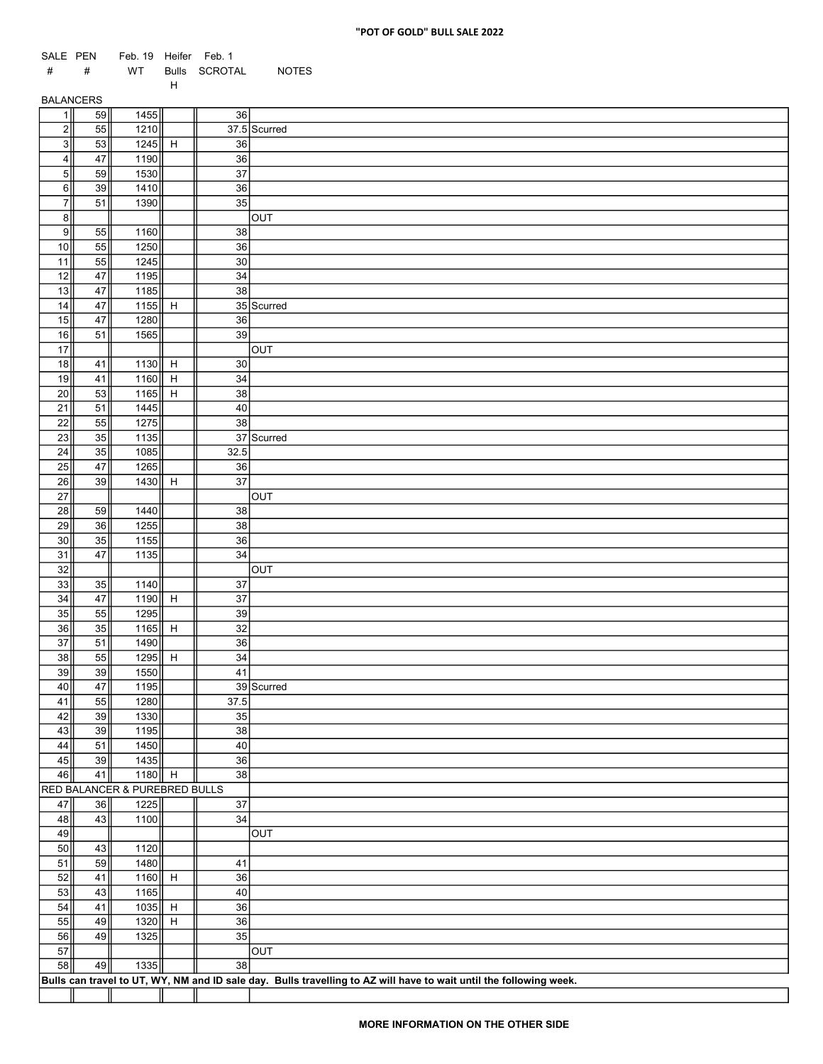## "POT OF GOLD" BULL SALE 2022

| SALE PEN                |          | Feb. 19 Heifer Feb. 1         |   |                 |                                                                                                                    |
|-------------------------|----------|-------------------------------|---|-----------------|--------------------------------------------------------------------------------------------------------------------|
| #                       | #        | WT                            |   | Bulls SCROTAL   | <b>NOTES</b>                                                                                                       |
| <b>BALANCERS</b>        |          |                               | H |                 |                                                                                                                    |
| 1                       | 59       | 1455                          |   | 36              |                                                                                                                    |
| 2                       | 55       | 1210                          |   |                 | $\overline{37.5}$ Scurred                                                                                          |
| $\overline{\frac{3}{}}$ | 53       | $1245$ H                      |   | 36              |                                                                                                                    |
| $\overline{4}$          | 47       | 1190                          |   | 36              |                                                                                                                    |
| 5 <sub>1</sub>          | 59       | 1530                          |   | 37              |                                                                                                                    |
| 6<br>$\overline{7}$     | 39       | 1410                          |   | 36              |                                                                                                                    |
| $\frac{1}{2}$           | 51       | 1390                          |   | 35              | OUT                                                                                                                |
| 9                       | 55       | 1160                          |   | 38              |                                                                                                                    |
| 10                      | 55       | 1250                          |   | 36              |                                                                                                                    |
| 11                      | 55       | 1245                          |   | 30 <sub>o</sub> |                                                                                                                    |
| 12                      | 47       | 1195                          |   | 34              |                                                                                                                    |
| 13                      | 47       | 1185                          |   | 38              |                                                                                                                    |
| 14                      | 47       | 1155 $  $ H                   |   |                 | 35 Scurred                                                                                                         |
| 15                      | 47       | 1280                          |   | 36              |                                                                                                                    |
| 16                      | 51       | 1565                          |   | 39              |                                                                                                                    |
| 17<br>18                | 41       | 1130 H                        |   | $30\,$          | OUT                                                                                                                |
| 19                      | 41       | 1160 H                        |   | $34\,$          |                                                                                                                    |
| 20                      | 53       | 1165 H                        |   | 38              |                                                                                                                    |
| 21                      | 51       | 1445                          |   | 40              |                                                                                                                    |
| 22                      | 55       | 1275                          |   | 38              |                                                                                                                    |
| 23                      | 35       | 1135                          |   |                 | 37 Scurred                                                                                                         |
| 24                      | 35       | 1085                          |   | 32.5            |                                                                                                                    |
| 25                      | $47\,$   | 1265                          |   | 36              |                                                                                                                    |
| $\overline{26}$         | 39       | $1430$ H                      |   | $\overline{37}$ |                                                                                                                    |
| $27\,$                  |          |                               |   |                 | OUT                                                                                                                |
| 28<br>29                | 59<br>36 | 1440<br>1255                  |   | 38<br>38        |                                                                                                                    |
| 30 <sub>o</sub>         | 35       | 1155                          |   | 36              |                                                                                                                    |
| 31                      | 47       | 1135                          |   | 34              |                                                                                                                    |
| 32                      |          |                               |   |                 | OUT                                                                                                                |
| 33                      | 35       | 1140                          |   | 37              |                                                                                                                    |
| 34                      | 47       | 1190 H                        |   | $\overline{37}$ |                                                                                                                    |
| 35                      | 55       | 1295                          |   | 39              |                                                                                                                    |
| 36                      | 35       | 1165 H                        |   | $\overline{32}$ |                                                                                                                    |
| 37                      | 51       | 1490                          |   | 36              |                                                                                                                    |
| 38<br>39                | 55<br>39 | 1295 H<br>1550                |   | $34\,$<br>41    |                                                                                                                    |
| 40                      | 47       | 1195                          |   |                 | 39 Scurred                                                                                                         |
| 41                      | 55       | 1280                          |   | 37.5            |                                                                                                                    |
| 42                      | 39       | 1330                          |   | 35              |                                                                                                                    |
| 43                      | 39       | 1195                          |   | 38              |                                                                                                                    |
| 44                      | 51       | 1450                          |   | 40              |                                                                                                                    |
| 45                      | 39       | 1435                          |   | $36\,$          |                                                                                                                    |
| 46                      | 41       | 1180 H                        |   | $38\,$          |                                                                                                                    |
|                         |          | RED BALANCER & PUREBRED BULLS |   |                 |                                                                                                                    |
| 47<br>48                | 36<br>43 | 1225<br>1100                  |   | 37<br>34        |                                                                                                                    |
| 49                      |          |                               |   |                 | <b>TUO</b>                                                                                                         |
| 50                      | 43       | 1120                          |   |                 |                                                                                                                    |
| 51                      | 59       | 1480                          |   | 41              |                                                                                                                    |
| 52                      | 41       | 1160 H                        |   | 36              |                                                                                                                    |
| 53                      | 43       | 1165                          |   | 40              |                                                                                                                    |
| 54                      | 41       | $1035$ H                      |   | 36              |                                                                                                                    |
| 55                      | 49       | $1320$ H                      |   | $36\,$          |                                                                                                                    |
| 56                      | 49       | 1325                          |   | 35              |                                                                                                                    |
| 57                      |          |                               |   |                 | <b>TUO</b>                                                                                                         |
| 58                      | 49       | $\overline{1335}$             |   | $\overline{38}$ |                                                                                                                    |
|                         |          |                               |   |                 | Bulls can travel to UT, WY, NM and ID sale day. Bulls travelling to AZ will have to wait until the following week. |
|                         |          |                               |   |                 |                                                                                                                    |